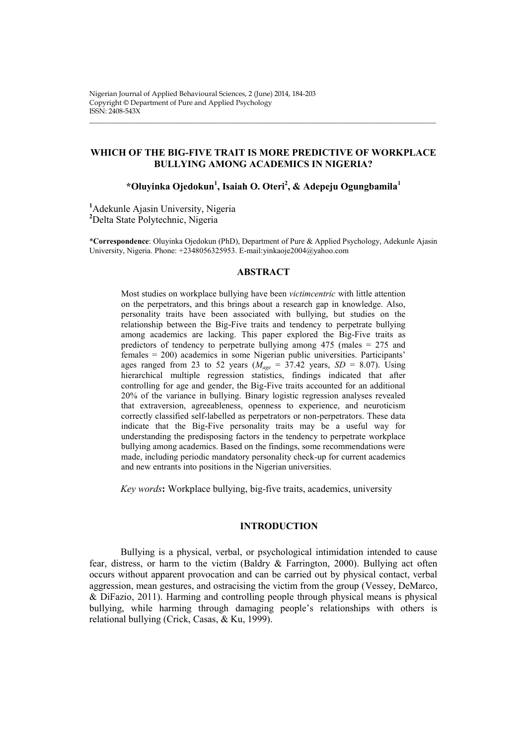## **WHICH OF THE BIG-FIVE TRAIT IS MORE PREDICTIVE OF WORKPLACE BULLYING AMONG ACADEMICS IN NIGERIA?**

\_\_\_\_\_\_\_\_\_\_\_\_\_\_\_\_\_\_\_\_\_\_\_\_\_\_\_\_\_\_\_\_\_\_\_\_\_\_\_\_\_\_\_\_\_\_\_\_\_\_\_\_\_\_\_\_\_\_\_\_\_\_\_\_\_\_\_\_\_\_\_\_\_\_\_\_\_\_\_\_\_\_\_\_\_\_\_\_\_\_\_\_\_\_\_\_\_\_

# **\*Oluyinka Ojedokun<sup>1</sup> , Isaiah O. Oteri<sup>2</sup> , & Adepeju Ogungbamila<sup>1</sup>**

**<sup>1</sup>**Adekunle Ajasin University, Nigeria **<sup>2</sup>**Delta State Polytechnic, Nigeria

\***Correspondence**: Oluyinka Ojedokun (PhD), Department of Pure & Applied Psychology, Adekunle Ajasin University, Nigeria. Phone: +2348056325953. E-mail:yinkaoje2004@yahoo.com

#### **ABSTRACT**

Most studies on workplace bullying have been *victimcentric* with little attention on the perpetrators, and this brings about a research gap in knowledge. Also, personality traits have been associated with bullying, but studies on the relationship between the Big-Five traits and tendency to perpetrate bullying among academics are lacking. This paper explored the Big-Five traits as predictors of tendency to perpetrate bullying among 475 (males = 275 and females = 200) academics in some Nigerian public universities. Participants' ages ranged from 23 to 52 years ( $M_{\text{age}} = 37.42$  years,  $SD = 8.07$ ). Using hierarchical multiple regression statistics, findings indicated that after controlling for age and gender, the Big-Five traits accounted for an additional 20% of the variance in bullying. Binary logistic regression analyses revealed that extraversion, agreeableness, openness to experience, and neuroticism correctly classified self-labelled as perpetrators or non-perpetrators. These data indicate that the Big-Five personality traits may be a useful way for understanding the predisposing factors in the tendency to perpetrate workplace bullying among academics. Based on the findings, some recommendations were made, including periodic mandatory personality check-up for current academics and new entrants into positions in the Nigerian universities.

*Key words***:** Workplace bullying, big-five traits, academics, university

#### **INTRODUCTION**

Bullying is a physical, verbal, or psychological intimidation intended to cause fear, distress, or harm to the victim (Baldry & Farrington, 2000). Bullying act often occurs without apparent provocation and can be carried out by physical contact, verbal aggression, mean gestures, and ostracising the victim from the group (Vessey, DeMarco, & DiFazio, 2011). Harming and controlling people through physical means is physical bullying, while harming through damaging people's relationships with others is relational bullying (Crick, Casas, & Ku, 1999).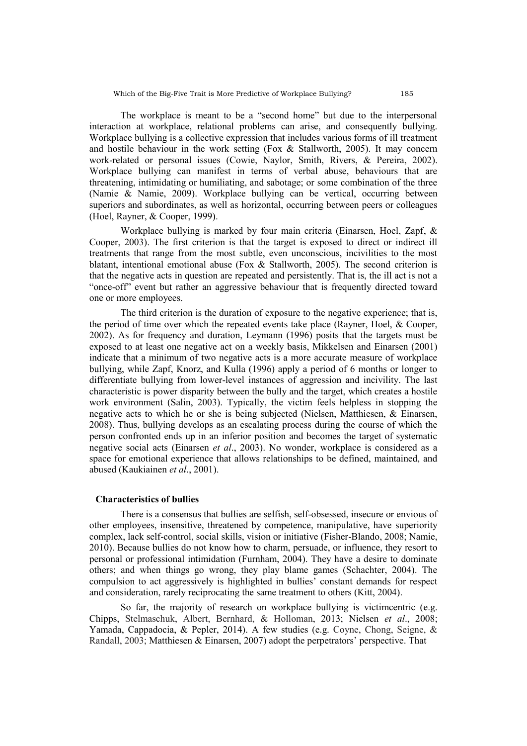The workplace is meant to be a "second home" but due to the interpersonal interaction at workplace, relational problems can arise, and consequently bullying. Workplace bullying is a collective expression that includes various forms of ill treatment and hostile behaviour in the work setting (Fox  $\&$  Stallworth, 2005). It may concern work-related or personal issues (Cowie, Naylor, Smith, Rivers, & Pereira, 2002). Workplace bullying can manifest in terms of verbal abuse, behaviours that are threatening, intimidating or humiliating, and sabotage; or some combination of the three (Namie & Namie, 2009). Workplace bullying can be vertical, occurring between superiors and subordinates, as well as horizontal, occurring between peers or colleagues (Hoel, Rayner, & Cooper, 1999).

Workplace bullying is marked by four main criteria (Einarsen, Hoel, Zapf, & Cooper, 2003). The first criterion is that the target is exposed to direct or indirect ill treatments that range from the most subtle, even unconscious, incivilities to the most blatant, intentional emotional abuse (Fox & Stallworth, 2005). The second criterion is that the negative acts in question are repeated and persistently. That is, the ill act is not a "once-off" event but rather an aggressive behaviour that is frequently directed toward one or more employees.

The third criterion is the duration of exposure to the negative experience; that is, the period of time over which the repeated events take place (Rayner, Hoel, & Cooper, 2002). As for frequency and duration, Leymann (1996) posits that the targets must be exposed to at least one negative act on a weekly basis, Mikkelsen and Einarsen (2001) indicate that a minimum of two negative acts is a more accurate measure of workplace bullying, while Zapf, Knorz, and Kulla (1996) apply a period of 6 months or longer to differentiate bullying from lower-level instances of aggression and incivility. The last characteristic is power disparity between the bully and the target, which creates a hostile work environment (Salin, 2003). Typically, the victim feels helpless in stopping the negative acts to which he or she is being subjected (Nielsen, Matthiesen, & Einarsen, 2008). Thus, bullying develops as an escalating process during the course of which the person confronted ends up in an inferior position and becomes the target of systematic negative social acts (Einarsen *et al*., 2003). No wonder, workplace is considered as a space for emotional experience that allows relationships to be defined, maintained, and abused (Kaukiainen *et al*., 2001).

#### **Characteristics of bullies**

There is a consensus that bullies are selfish, self-obsessed, insecure or envious of other employees, insensitive, threatened by competence, manipulative, have superiority complex, lack self-control, social skills, vision or initiative (Fisher-Blando, 2008; Namie, 2010). Because bullies do not know how to charm, persuade, or influence, they resort to personal or professional intimidation (Furnham, 2004). They have a desire to dominate others; and when things go wrong, they play blame games (Schachter, 2004). The compulsion to act aggressively is highlighted in bullies' constant demands for respect and consideration, rarely reciprocating the same treatment to others (Kitt, 2004).

So far, the majority of research on workplace bullying is victimentric (e.g. Chipps, Stelmaschuk, Albert, Bernhard, & Holloman, 2013; Nielsen *et al*., 2008; Yamada, Cappadocia, & Pepler, 2014). A few studies (e.g. Coyne, Chong, Seigne, & Randall, 2003; Matthiesen & Einarsen, 2007) adopt the perpetrators' perspective. That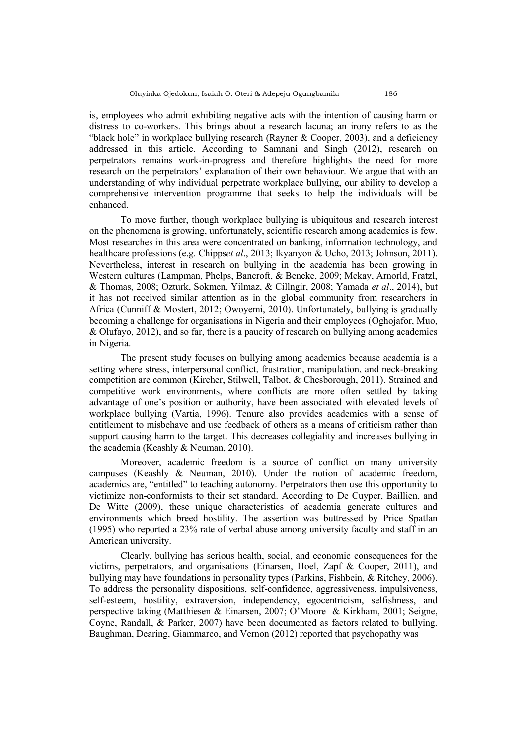is, employees who admit exhibiting negative acts with the intention of causing harm or distress to co-workers. This brings about a research lacuna; an irony refers to as the "black hole" in workplace bullying research (Rayner & Cooper, 2003), and a deficiency addressed in this article. According to Samnani and Singh (2012), research on perpetrators remains work-in-progress and therefore highlights the need for more research on the perpetrators' explanation of their own behaviour. We argue that with an understanding of why individual perpetrate workplace bullying, our ability to develop a comprehensive intervention programme that seeks to help the individuals will be enhanced.

To move further, though workplace bullying is ubiquitous and research interest on the phenomena is growing, unfortunately, scientific research among academics is few. Most researches in this area were concentrated on banking, information technology, and healthcare professions (e.g. Chipps*et al*., 2013; Ikyanyon & Ucho, 2013; Johnson, 2011). Nevertheless, interest in research on bullying in the academia has been growing in Western cultures (Lampman, Phelps, Bancroft, & Beneke, 2009; Mckay, Arnorld, Fratzl, & Thomas, 2008; Ozturk, Sokmen, Yilmaz, & Cillngir, 2008; Yamada *et al*., 2014), but it has not received similar attention as in the global community from researchers in Africa (Cunniff & Mostert, 2012; Owoyemi, 2010). Unfortunately, bullying is gradually becoming a challenge for organisations in Nigeria and their employees (Oghojafor, Muo, & Olufayo, 2012), and so far, there is a paucity of research on bullying among academics in Nigeria.

The present study focuses on bullying among academics because academia is a setting where stress, interpersonal conflict, frustration, manipulation, and neck-breaking competition are common (Kircher, Stilwell, Talbot, & Chesborough, 2011). Strained and competitive work environments, where conflicts are more often settled by taking advantage of one's position or authority, have been associated with elevated levels of workplace bullying (Vartia, 1996). Tenure also provides academics with a sense of entitlement to misbehave and use feedback of others as a means of criticism rather than support causing harm to the target. This decreases collegiality and increases bullying in the academia (Keashly & Neuman, 2010).

Moreover, academic freedom is a source of conflict on many university campuses (Keashly & Neuman, 2010). Under the notion of academic freedom, academics are, "entitled" to teaching autonomy. Perpetrators then use this opportunity to victimize non-conformists to their set standard. According to De Cuyper, Baillien, and De Witte (2009), these unique characteristics of academia generate cultures and environments which breed hostility. The assertion was buttressed by Price Spatlan (1995) who reported a 23% rate of verbal abuse among university faculty and staff in an American university.

Clearly, bullying has serious health, social, and economic consequences for the victims, perpetrators, and organisations (Einarsen, Hoel, Zapf & Cooper, 2011), and bullying may have foundations in personality types (Parkins, Fishbein, & Ritchey, 2006). To address the personality dispositions, self-confidence, aggressiveness, impulsiveness, self-esteem, hostility, extraversion, independency, egocentricism, selfishness, and perspective taking (Matthiesen & Einarsen, 2007; O'Moore & Kirkham, 2001; Seigne, Coyne, Randall, & Parker, 2007) have been documented as factors related to bullying. Baughman, Dearing, Giammarco, and Vernon (2012) reported that psychopathy was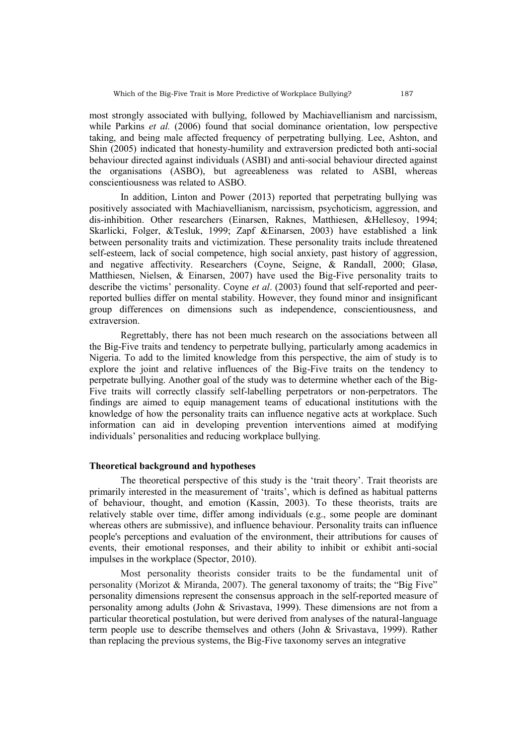most strongly associated with bullying, followed by Machiavellianism and narcissism, while Parkins *et al.* (2006) found that social dominance orientation, low perspective taking, and being male affected frequency of perpetrating bullying. Lee, Ashton, and Shin (2005) indicated that honesty-humility and extraversion predicted both anti-social behaviour directed against individuals (ASBI) and anti-social behaviour directed against the organisations (ASBO), but agreeableness was related to ASBI, whereas conscientiousness was related to ASBO.

In addition, Linton and Power (2013) reported that perpetrating bullying was positively associated with Machiavellianism, narcissism, psychoticism, aggression, and dis-inhibition. Other researchers (Einarsen, Raknes, Matthiesen, &Hellesoy, 1994; Skarlicki, Folger, &Tesluk, 1999; Zapf &Einarsen, 2003) have established a link between personality traits and victimization. These personality traits include threatened self-esteem, lack of social competence, high social anxiety, past history of aggression, and negative affectivity. Researchers (Coyne, Seigne, & Randall, 2000; Glasø, Matthiesen, Nielsen, & Einarsen, 2007) have used the Big-Five personality traits to describe the victims' personality. Coyne *et al*. (2003) found that self-reported and peerreported bullies differ on mental stability. However, they found minor and insignificant group differences on dimensions such as independence, conscientiousness, and extraversion.

Regrettably, there has not been much research on the associations between all the Big-Five traits and tendency to perpetrate bullying, particularly among academics in Nigeria. To add to the limited knowledge from this perspective, the aim of study is to explore the joint and relative influences of the Big-Five traits on the tendency to perpetrate bullying. Another goal of the study was to determine whether each of the Big-Five traits will correctly classify self-labelling perpetrators or non-perpetrators. The findings are aimed to equip management teams of educational institutions with the knowledge of how the personality traits can influence negative acts at workplace. Such information can aid in developing prevention interventions aimed at modifying individuals' personalities and reducing workplace bullying.

### **Theoretical background and hypotheses**

The theoretical perspective of this study is the 'trait theory'. Trait theorists are primarily interested in the measurement of 'traits', which is defined as habitual patterns of behaviour, thought, and emotion (Kassin, 2003). To these theorists, traits are relatively stable over time, differ among individuals (e.g., some people are dominant whereas others are submissive), and influence behaviour. Personality traits can influence people's perceptions and evaluation of the environment, their attributions for causes of events, their emotional responses, and their ability to inhibit or exhibit anti-social impulses in the workplace (Spector, 2010).

Most personality theorists consider traits to be the fundamental unit of personality (Morizot & Miranda, 2007). The general taxonomy of traits; the "Big Five" personality dimensions represent the consensus approach in the self-reported measure of personality among adults (John & Srivastava, 1999). These dimensions are not from a particular theoretical postulation, but were derived from analyses of the natural-language term people use to describe themselves and others (John & Srivastava, 1999). Rather than replacing the previous systems, the Big-Five taxonomy serves an integrative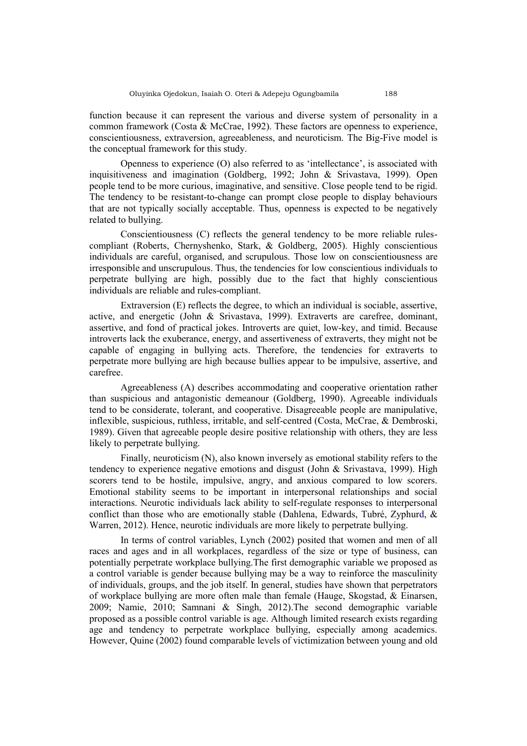function because it can represent the various and diverse system of personality in a common framework (Costa & McCrae, 1992). These factors are openness to experience, conscientiousness, extraversion, agreeableness, and neuroticism. The Big-Five model is the conceptual framework for this study.

Openness to experience (O) also referred to as 'intellectance', is associated with inquisitiveness and imagination (Goldberg, 1992; John & Srivastava, 1999). Open people tend to be more curious, imaginative, and sensitive. Close people tend to be rigid. The tendency to be resistant-to-change can prompt close people to display behaviours that are not typically socially acceptable. Thus, openness is expected to be negatively related to bullying.

Conscientiousness (C) reflects the general tendency to be more reliable rulescompliant (Roberts, Chernyshenko, Stark, & Goldberg, 2005). Highly conscientious individuals are careful, organised, and scrupulous. Those low on conscientiousness are irresponsible and unscrupulous. Thus, the tendencies for low conscientious individuals to perpetrate bullying are high, possibly due to the fact that highly conscientious individuals are reliable and rules-compliant.

Extraversion (E) reflects the degree, to which an individual is sociable, assertive, active, and energetic (John & Srivastava, 1999). Extraverts are carefree, dominant, assertive, and fond of practical jokes. Introverts are quiet, low-key, and timid. Because introverts lack the exuberance, energy, and assertiveness of extraverts, they might not be capable of engaging in bullying acts. Therefore, the tendencies for extraverts to perpetrate more bullying are high because bullies appear to be impulsive, assertive, and carefree.

Agreeableness (A) describes accommodating and cooperative orientation rather than suspicious and antagonistic demeanour (Goldberg, 1990). Agreeable individuals tend to be considerate, tolerant, and cooperative. Disagreeable people are manipulative, inflexible, suspicious, ruthless, irritable, and self-centred (Costa, McCrae, & Dembroski, 1989). Given that agreeable people desire positive relationship with others, they are less likely to perpetrate bullying.

Finally, neuroticism (N), also known inversely as emotional stability refers to the tendency to experience negative emotions and disgust (John & Srivastava, 1999). High scorers tend to be hostile, impulsive, angry, and anxious compared to low scorers. Emotional stability seems to be important in interpersonal relationships and social interactions. Neurotic individuals lack ability to self-regulate responses to interpersonal conflict than those who are emotionally stable (Dahlena, Edwards, Tubré, Zyphurd, & Warren, 2012). Hence, neurotic individuals are more likely to perpetrate bullying.

In terms of control variables, Lynch (2002) posited that women and men of all races and ages and in all workplaces, regardless of the size or type of business, can potentially perpetrate workplace bullying.The first demographic variable we proposed as a control variable is gender because bullying may be a way to reinforce the masculinity of individuals, groups, and the job itself. In general, studies have shown that perpetrators of workplace bullying are more often male than female (Hauge, Skogstad, & Einarsen, 2009; Namie, 2010; Samnani & Singh, 2012).The second demographic variable proposed as a possible control variable is age. Although limited research exists regarding age and tendency to perpetrate workplace bullying, especially among academics. However, Quine (2002) found comparable levels of victimization between young and old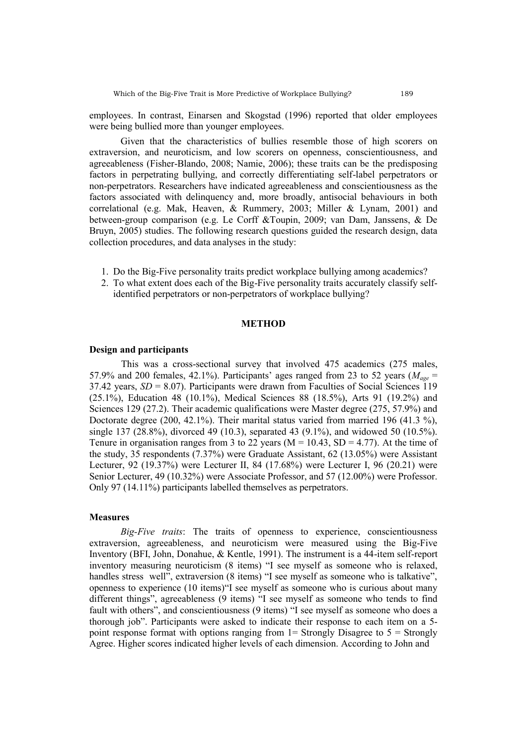employees. In contrast, Einarsen and Skogstad (1996) reported that older employees were being bullied more than younger employees.

Given that the characteristics of bullies resemble those of high scorers on extraversion, and neuroticism, and low scorers on openness, conscientiousness, and agreeableness (Fisher-Blando, 2008; Namie, 2006); these traits can be the predisposing factors in perpetrating bullying, and correctly differentiating self-label perpetrators or non-perpetrators. Researchers have indicated agreeableness and conscientiousness as the factors associated with delinquency and, more broadly, antisocial behaviours in both correlational (e.g. Mak, Heaven, & Rummery, 2003; Miller & Lynam, 2001) and between-group comparison (e.g. Le Corff &Toupin, 2009; van Dam, Janssens, & De Bruyn, 2005) studies. The following research questions guided the research design, data collection procedures, and data analyses in the study:

- 1. Do the Big-Five personality traits predict workplace bullying among academics?
- 2. To what extent does each of the Big-Five personality traits accurately classify selfidentified perpetrators or non-perpetrators of workplace bullying?

#### **METHOD**

#### **Design and participants**

This was a cross-sectional survey that involved 475 academics (275 males, 57.9% and 200 females, 42.1%). Participants' ages ranged from 23 to 52 years ( $M_{\text{gee}}$  = 37.42 years,  $SD = 8.07$ ). Participants were drawn from Faculties of Social Sciences 119 (25.1%), Education 48 (10.1%), Medical Sciences 88 (18.5%), Arts 91 (19.2%) and Sciences 129 (27.2). Their academic qualifications were Master degree (275, 57.9%) and Doctorate degree (200, 42.1%). Their marital status varied from married 196 (41.3 %), single 137 (28.8%), divorced 49 (10.3), separated 43 (9.1%), and widowed 50 (10.5%). Tenure in organisation ranges from 3 to 22 years ( $M = 10.43$ ,  $SD = 4.77$ ). At the time of the study, 35 respondents (7.37%) were Graduate Assistant, 62 (13.05%) were Assistant Lecturer, 92 (19.37%) were Lecturer II, 84 (17.68%) were Lecturer I, 96 (20.21) were Senior Lecturer, 49 (10.32%) were Associate Professor, and 57 (12.00%) were Professor. Only 97 (14.11%) participants labelled themselves as perpetrators.

#### **Measures**

*Big-Five traits*: The traits of openness to experience, conscientiousness extraversion, agreeableness, and neuroticism were measured using the Big-Five Inventory (BFI, John, Donahue, & Kentle, 1991). The instrument is a 44-item self-report inventory measuring neuroticism (8 items) "I see myself as someone who is relaxed, handles stress well", extraversion (8 items) "I see myself as someone who is talkative", openness to experience (10 items)"I see myself as someone who is curious about many different things", agreeableness (9 items) "I see myself as someone who tends to find fault with others", and conscientiousness (9 items) "I see myself as someone who does a thorough job". Participants were asked to indicate their response to each item on a 5 point response format with options ranging from  $1 =$  Strongly Disagree to  $5 =$  Strongly Agree. Higher scores indicated higher levels of each dimension. According to John and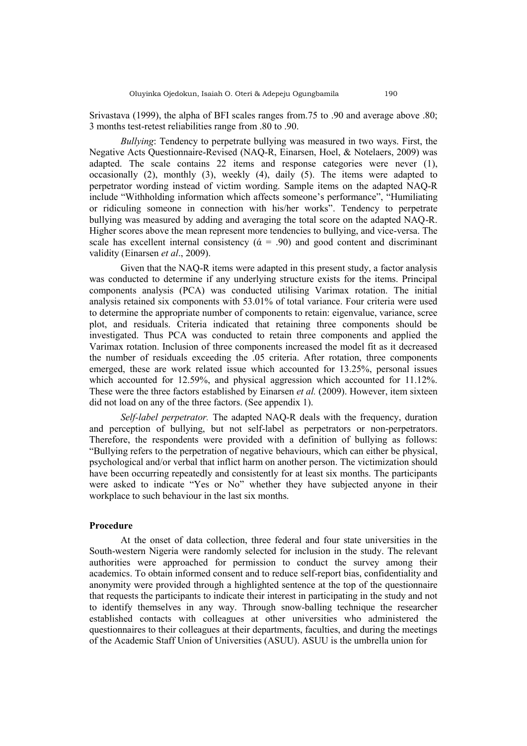Srivastava (1999), the alpha of BFI scales ranges from.75 to .90 and average above .80; 3 months test-retest reliabilities range from .80 to .90.

*Bullying*: Tendency to perpetrate bullying was measured in two ways. First, the Negative Acts Questionnaire-Revised (NAQ-R, Einarsen, Hoel, & Notelaers, 2009) was adapted. The scale contains 22 items and response categories were never (1), occasionally (2), monthly (3), weekly (4), daily (5). The items were adapted to perpetrator wording instead of victim wording. Sample items on the adapted NAQ-R include "Withholding information which affects someone's performance", "Humiliating or ridiculing someone in connection with his/her works". Tendency to perpetrate bullying was measured by adding and averaging the total score on the adapted NAQ-R. Higher scores above the mean represent more tendencies to bullying, and vice-versa. The scale has excellent internal consistency ( $\dot{\alpha}$  = .90) and good content and discriminant validity (Einarsen *et al*., 2009).

Given that the NAQ-R items were adapted in this present study, a factor analysis was conducted to determine if any underlying structure exists for the items. Principal components analysis (PCA) was conducted utilising Varimax rotation. The initial analysis retained six components with 53.01% of total variance. Four criteria were used to determine the appropriate number of components to retain: eigenvalue, variance, scree plot, and residuals. Criteria indicated that retaining three components should be investigated. Thus PCA was conducted to retain three components and applied the Varimax rotation. Inclusion of three components increased the model fit as it decreased the number of residuals exceeding the .05 criteria. After rotation, three components emerged, these are work related issue which accounted for 13.25%, personal issues which accounted for 12.59%, and physical aggression which accounted for 11.12%. These were the three factors established by Einarsen *et al.* (2009). However, item sixteen did not load on any of the three factors. (See appendix 1).

*Self-label perpetrator.* The adapted NAQ-R deals with the frequency, duration and perception of bullying, but not self-label as perpetrators or non-perpetrators. Therefore, the respondents were provided with a definition of bullying as follows: "Bullying refers to the perpetration of negative behaviours, which can either be physical, psychological and/or verbal that inflict harm on another person. The victimization should have been occurring repeatedly and consistently for at least six months. The participants were asked to indicate "Yes or No" whether they have subjected anyone in their workplace to such behaviour in the last six months.

#### **Procedure**

At the onset of data collection, three federal and four state universities in the South-western Nigeria were randomly selected for inclusion in the study. The relevant authorities were approached for permission to conduct the survey among their academics. To obtain informed consent and to reduce self-report bias, confidentiality and anonymity were provided through a highlighted sentence at the top of the questionnaire that requests the participants to indicate their interest in participating in the study and not to identify themselves in any way. Through snow-balling technique the researcher established contacts with colleagues at other universities who administered the questionnaires to their colleagues at their departments, faculties, and during the meetings of the Academic Staff Union of Universities (ASUU). ASUU is the umbrella union for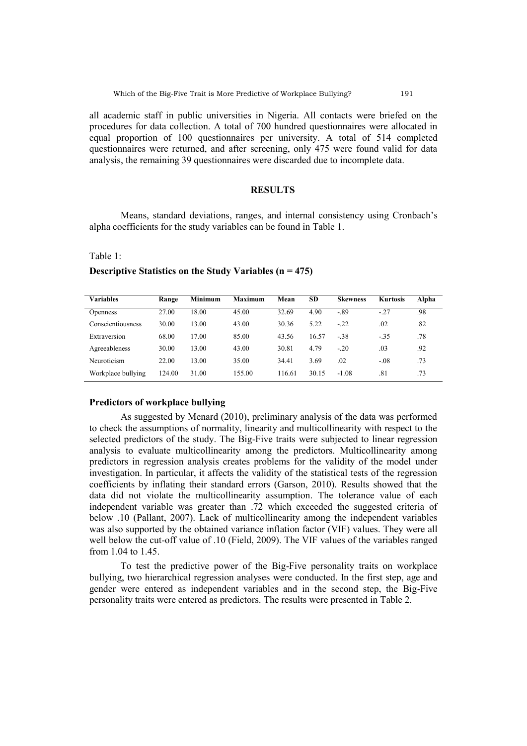all academic staff in public universities in Nigeria. All contacts were briefed on the procedures for data collection. A total of 700 hundred questionnaires were allocated in equal proportion of 100 questionnaires per university. A total of 514 completed questionnaires were returned, and after screening, only 475 were found valid for data analysis, the remaining 39 questionnaires were discarded due to incomplete data.

### **RESULTS**

Means, standard deviations, ranges, and internal consistency using Cronbach's alpha coefficients for the study variables can be found in Table 1.

Table 1:

| Variables          | Range  | <b>Minimum</b> | <b>Maximum</b> | Mean   | SD    | <b>Skewness</b> | <b>Kurtosis</b> | Alpha |
|--------------------|--------|----------------|----------------|--------|-------|-----------------|-----------------|-------|
| <b>Openness</b>    | 27.00  | 18.00          | 45.00          | 32.69  | 4.90  | $-.89$          | $-27$           | .98   |
| Conscientiousness  | 30.00  | 13.00          | 43.00          | 30.36  | 5.22  | $-22$           | .02             | .82   |
| Extraversion       | 68.00  | 17.00          | 85.00          | 43.56  | 16.57 | $-38$           | $-.35$          | .78   |
| Agreeableness      | 30.00  | 13.00          | 43.00          | 30.81  | 4.79  | $-20$           | .03             | .92   |
| Neuroticism        | 22.00  | 13.00          | 35.00          | 34.41  | 3.69  | .02             | $-08$           | .73   |
| Workplace bullying | 124.00 | 31.00          | 155.00         | 116.61 | 30.15 | $-1.08$         | .81             | .73   |

**Descriptive Statistics on the Study Variables (n = 475)**

#### **Predictors of workplace bullying**

As suggested by Menard (2010), preliminary analysis of the data was performed to check the assumptions of normality, linearity and multicollinearity with respect to the selected predictors of the study. The Big-Five traits were subjected to linear regression analysis to evaluate multicollinearity among the predictors. Multicollinearity among predictors in regression analysis creates problems for the validity of the model under investigation. In particular, it affects the validity of the statistical tests of the regression coefficients by inflating their standard errors (Garson, 2010). Results showed that the data did not violate the multicollinearity assumption. The tolerance value of each independent variable was greater than .72 which exceeded the suggested criteria of below .10 (Pallant, 2007). Lack of multicollinearity among the independent variables was also supported by the obtained variance inflation factor (VIF) values. They were all well below the cut-off value of .10 (Field, 2009). The VIF values of the variables ranged from 1.04 to 1.45.

To test the predictive power of the Big-Five personality traits on workplace bullying, two hierarchical regression analyses were conducted. In the first step, age and gender were entered as independent variables and in the second step, the Big-Five personality traits were entered as predictors. The results were presented in Table 2.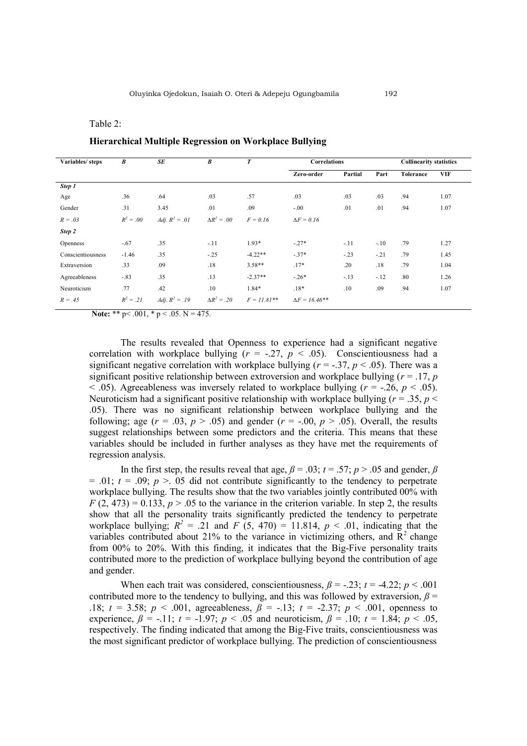#### Table 2:

| Variables/steps   | B           | <b>SE</b>               | B                  | $\boldsymbol{T}$ | <b>Correlations</b>  |         | <b>Collinearity statistics</b> |                  |            |
|-------------------|-------------|-------------------------|--------------------|------------------|----------------------|---------|--------------------------------|------------------|------------|
|                   |             |                         |                    |                  | Zero-order           | Partial | Part                           | <b>Tolerance</b> | <b>VIF</b> |
| Step 1            |             |                         |                    |                  |                      |         |                                |                  |            |
| Age               | .36         | .64                     | .03                | .57              | .03                  | .03     | .03                            | .94              | 1.07       |
| Gender            | .31         | 3.45                    | .01                | .09              | $-.00$               | .01     | .01                            | .94              | 1.07       |
| $R = .03$         | $R^2 = .00$ | <i>Adj.</i> $R^2 = .01$ | $\Delta R^2 = .00$ | $F = 0.16$       | $\Delta F = 0.16$    |         |                                |                  |            |
| Step 2            |             |                         |                    |                  |                      |         |                                |                  |            |
| <b>Openness</b>   | $-.67$      | .35                     | $-11$              | $1.93*$          | $-.27*$              | $-.11$  | $-.10$                         | .79              | 1.27       |
| Conscientiousness | $-1.46$     | .35                     | $-.25$             | $-4.22**$        | $-37*$               | $-.23$  | $-.21$                         | .79              | 1.45       |
| Extraversion      | .33         | .09                     | .18                | $3.58**$         | $.17*$               | .20     | .18                            | .79              | 1.04       |
| Agreeableness     | $-.83$      | .35                     | .13                | $-2.37**$        | $-.26*$              | $-.13$  | $-.12$                         | .80              | 1.26       |
| Neuroticism       | .77         | .42                     | .10                | $1.84*$          | $.18*$               | .10     | .09                            | .94              | 1.07       |
| $R = .45$         | $R^2 = .21$ | <i>Adj.</i> $R^2 = .19$ | $\Delta R^2 = .20$ | $F = 11.81**$    | $\Delta F = 16.46**$ |         |                                |                  |            |

**Hierarchical Multiple Regression on Workplace Bullying** 

**Note:** \*\*  $p < .001$ , \*  $p < .05$ .  $N = 475$ .

The results revealed that Openness to experience had a significant negative correlation with workplace bullying  $(r = -.27, p < .05)$ . Conscientiousness had a significant negative correlation with workplace bullying  $(r = -0.37, p < 0.05)$ . There was a significant positive relationship between extroversion and workplace bullying  $(r = .17, p)$  $<$  0.05). Agreeableness was inversely related to workplace bullying ( $r = -0.26$ ,  $p < 0.05$ ). Neuroticism had a significant positive relationship with workplace bullying ( $r = .35$ ,  $p <$ .05). There was no significant relationship between workplace bullying and the following; age  $(r = .03, p > .05)$  and gender  $(r = -.00, p > .05)$ . Overall, the results suggest relationships between some predictors and the criteria. This means that these variables should be included in further analyses as they have met the requirements of regression analysis.

In the first step, the results reveal that age,  $\beta = .03$ ;  $t = .57$ ;  $p > .05$  and gender,  $\beta$  $= .01$ ;  $t = .09$ ;  $p > .05$  did not contribute significantly to the tendency to perpetrate workplace bullying. The results show that the two variables jointly contributed 00% with  $F(2, 473) = 0.133$ ,  $p > .05$  to the variance in the criterion variable. In step 2, the results show that all the personality traits significantly predicted the tendency to perpetrate workplace bullying;  $R^2 = .21$  and  $F(5, 470) = 11.814$ ,  $p < .01$ , indicating that the variables contributed about 21% to the variance in victimizing others, and  $R^2$  change from 00% to 20%. With this finding, it indicates that the Big-Five personality traits contributed more to the prediction of workplace bullying beyond the contribution of age and gender.

When each trait was considered, conscientiousness,  $\beta$  = -.23;  $t$  = -4.22;  $p$  < .001 contributed more to the tendency to bullying, and this was followed by extraversion,  $\beta$  = .18;  $t = 3.58$ ;  $p < .001$ , agreeableness,  $\beta = -.13$ ;  $t = .2.37$ ;  $p < .001$ , openness to experience,  $\beta = -11$ ;  $t = -1.97$ ;  $p < .05$  and neuroticism,  $\beta = 0.10$ ;  $t = 1.84$ ;  $p < .05$ , respectively. The finding indicated that among the Big-Five traits, conscientiousness was the most significant predictor of workplace bullying. The prediction of conscientiousness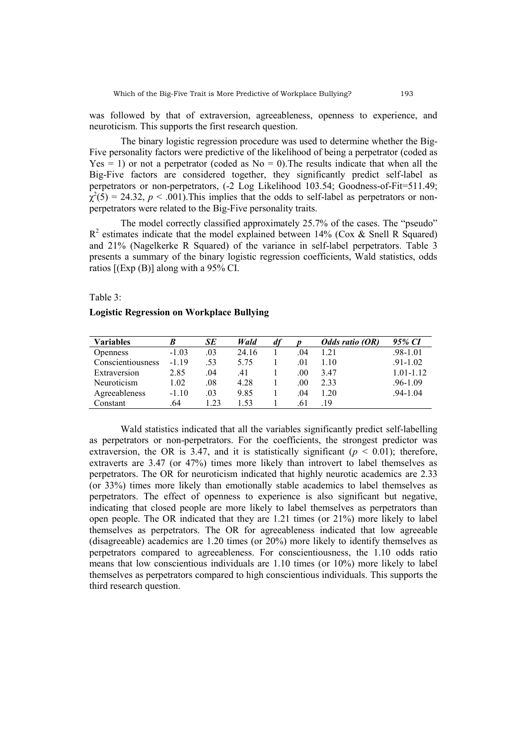was followed by that of extraversion, agreeableness, openness to experience, and neuroticism. This supports the first research question.

The binary logistic regression procedure was used to determine whether the Big-Five personality factors were predictive of the likelihood of being a perpetrator (coded as  $Yes = 1)$  or not a perpetrator (coded as  $No = 0$ ). The results indicate that when all the Big-Five factors are considered together, they significantly predict self-label as perpetrators or non-perpetrators, (-2 Log Likelihood 103.54; Goodness-of-Fit=511.49;  $\chi^2(5) = 24.32, p < .001$ ). This implies that the odds to self-label as perpetrators or nonperpetrators were related to the Big-Five personality traits.

The model correctly classified approximately 25.7% of the cases. The "pseudo"  $R<sup>2</sup>$  estimates indicate that the model explained between 14% (Cox & Snell R Squared) and 21% (Nagelkerke R Squared) of the variance in self-label perpetrators. Table 3 presents a summary of the binary logistic regression coefficients, Wald statistics, odds ratios [(Exp (B)] along with a 95% CI.

Table 3:

## **Logistic Regression on Workplace Bullying**

| <b>Variables</b>  | B       | SE   | Wald  | d <i>f</i> |     | Odds ratio (OR) | 95% CI        |
|-------------------|---------|------|-------|------------|-----|-----------------|---------------|
| <b>Openness</b>   | $-1.03$ | .03  | 24.16 |            | .04 | 1.21            | $.98 - 1.01$  |
| Conscientiousness | $-1.19$ | .53  | 5.75  |            | .01 | 1.10            | $.91 - 1.02$  |
| Extraversion      | 2.85    | .04  | .41   |            | .00 | 3.47            | $1.01 - 1.12$ |
| Neuroticism       | 1.02    | .08  | 4.28  |            | .00 | 2.33            | $.96 - 1.09$  |
| Agreeableness     | $-1.10$ | .03  | 9.85  |            | .04 | 1 20            | $.94 - 1.04$  |
| Constant          | .64     | 1.23 | l 53  |            | .61 | 19              |               |

Wald statistics indicated that all the variables significantly predict self-labelling as perpetrators or non-perpetrators. For the coefficients, the strongest predictor was extraversion, the OR is 3.47, and it is statistically significant  $(p < 0.01)$ ; therefore, extraverts are 3.47 (or 47%) times more likely than introvert to label themselves as perpetrators. The OR for neuroticism indicated that highly neurotic academics are 2.33 (or 33%) times more likely than emotionally stable academics to label themselves as perpetrators. The effect of openness to experience is also significant but negative, indicating that closed people are more likely to label themselves as perpetrators than open people. The OR indicated that they are 1.21 times (or 21%) more likely to label themselves as perpetrators. The OR for agreeableness indicated that low agreeable (disagreeable) academics are 1.20 times (or 20%) more likely to identify themselves as perpetrators compared to agreeableness. For conscientiousness, the 1.10 odds ratio means that low conscientious individuals are 1.10 times (or 10%) more likely to label themselves as perpetrators compared to high conscientious individuals. This supports the third research question.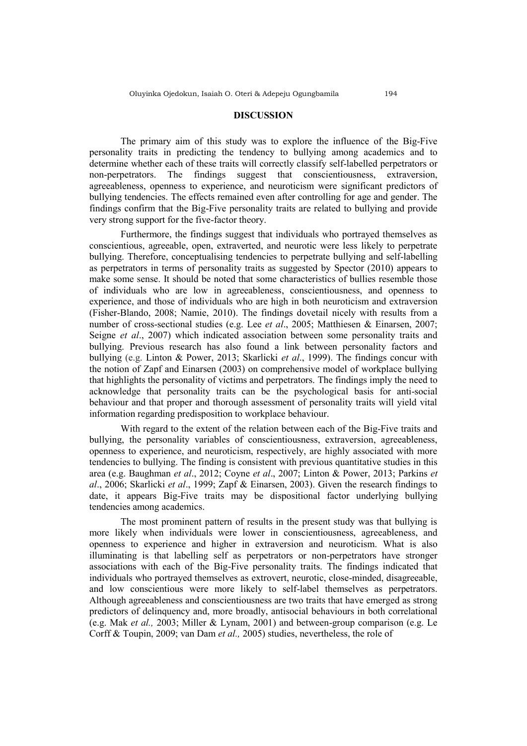The primary aim of this study was to explore the influence of the Big-Five personality traits in predicting the tendency to bullying among academics and to determine whether each of these traits will correctly classify self-labelled perpetrators or non-perpetrators. The findings suggest that conscientiousness, extraversion, agreeableness, openness to experience, and neuroticism were significant predictors of bullying tendencies. The effects remained even after controlling for age and gender. The findings confirm that the Big-Five personality traits are related to bullying and provide very strong support for the five-factor theory.

Furthermore, the findings suggest that individuals who portrayed themselves as conscientious, agreeable, open, extraverted, and neurotic were less likely to perpetrate bullying. Therefore, conceptualising tendencies to perpetrate bullying and self-labelling as perpetrators in terms of personality traits as suggested by Spector (2010) appears to make some sense. It should be noted that some characteristics of bullies resemble those of individuals who are low in agreeableness, conscientiousness, and openness to experience, and those of individuals who are high in both neuroticism and extraversion (Fisher-Blando, 2008; Namie, 2010). The findings dovetail nicely with results from a number of cross-sectional studies (e.g. Lee *et al*., 2005; Matthiesen & Einarsen, 2007; Seigne *et al*., 2007) which indicated association between some personality traits and bullying. Previous research has also found a link between personality factors and bullying (e.g. Linton & Power, 2013; Skarlicki *et al*., 1999). The findings concur with the notion of Zapf and Einarsen (2003) on comprehensive model of workplace bullying that highlights the personality of victims and perpetrators. The findings imply the need to acknowledge that personality traits can be the psychological basis for anti-social behaviour and that proper and thorough assessment of personality traits will yield vital information regarding predisposition to workplace behaviour.

With regard to the extent of the relation between each of the Big-Five traits and bullying, the personality variables of conscientiousness, extraversion, agreeableness, openness to experience, and neuroticism, respectively, are highly associated with more tendencies to bullying. The finding is consistent with previous quantitative studies in this area (e.g. Baughman *et al*., 2012; Coyne *et al*., 2007; Linton & Power, 2013; Parkins *et al*., 2006; Skarlicki *et al*., 1999; Zapf & Einarsen, 2003). Given the research findings to date, it appears Big-Five traits may be dispositional factor underlying bullying tendencies among academics.

The most prominent pattern of results in the present study was that bullying is more likely when individuals were lower in conscientiousness, agreeableness, and openness to experience and higher in extraversion and neuroticism. What is also illuminating is that labelling self as perpetrators or non-perpetrators have stronger associations with each of the Big-Five personality traits. The findings indicated that individuals who portrayed themselves as extrovert, neurotic, close-minded, disagreeable, and low conscientious were more likely to self-label themselves as perpetrators. Although agreeableness and conscientiousness are two traits that have emerged as strong predictors of delinquency and, more broadly, antisocial behaviours in both correlational (e.g. Mak *et al.,* 2003; Miller & Lynam, 2001) and between-group comparison (e.g. Le Corff & Toupin, 2009; van Dam *et al.,* 2005) studies, nevertheless, the role of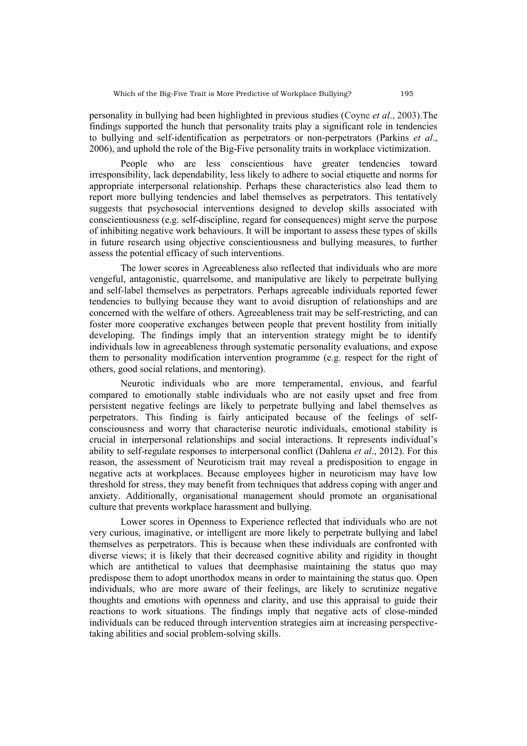personality in bullying had been highlighted in previous studies (Coyne *et al*., 2003).The findings supported the hunch that personality traits play a significant role in tendencies to bullying and self-identification as perpetrators or non-perpetrators (Parkins *et al*., 2006), and uphold the role of the Big-Five personality traits in workplace victimization.

People who are less conscientious have greater tendencies toward irresponsibility, lack dependability, less likely to adhere to social etiquette and norms for appropriate interpersonal relationship. Perhaps these characteristics also lead them to report more bullying tendencies and label themselves as perpetrators. This tentatively suggests that psychosocial interventions designed to develop skills associated with conscientiousness (e.g. self-discipline, regard for consequences) might serve the purpose of inhibiting negative work behaviours. It will be important to assess these types of skills in future research using objective conscientiousness and bullying measures, to further assess the potential efficacy of such interventions.

The lower scores in Agreeableness also reflected that individuals who are more vengeful, antagonistic, quarrelsome, and manipulative are likely to perpetrate bullying and self-label themselves as perpetrators. Perhaps agreeable individuals reported fewer tendencies to bullying because they want to avoid disruption of relationships and are concerned with the welfare of others. Agreeableness trait may be self-restricting, and can foster more cooperative exchanges between people that prevent hostility from initially developing. The findings imply that an intervention strategy might be to identify individuals low in agreeableness through systematic personality evaluations, and expose them to personality modification intervention programme (e.g. respect for the right of others, good social relations, and mentoring).

Neurotic individuals who are more temperamental, envious, and fearful compared to emotionally stable individuals who are not easily upset and free from persistent negative feelings are likely to perpetrate bullying and label themselves as perpetrators. This finding is fairly anticipated because of the feelings of selfconsciousness and worry that characterise neurotic individuals, emotional stability is crucial in interpersonal relationships and social interactions. It represents individual's ability to self-regulate responses to interpersonal conflict (Dahlena *et al*., 2012). For this reason, the assessment of Neuroticism trait may reveal a predisposition to engage in negative acts at workplaces. Because employees higher in neuroticism may have low threshold for stress, they may benefit from techniques that address coping with anger and anxiety. Additionally, organisational management should promote an organisational culture that prevents workplace harassment and bullying.

Lower scores in Openness to Experience reflected that individuals who are not very curious, imaginative, or intelligent are more likely to perpetrate bullying and label themselves as perpetrators. This is because when these individuals are confronted with diverse views; it is likely that their decreased cognitive ability and rigidity in thought which are antithetical to values that deemphasise maintaining the status quo may predispose them to adopt unorthodox means in order to maintaining the status quo. Open individuals, who are more aware of their feelings, are likely to scrutinize negative thoughts and emotions with openness and clarity, and use this appraisal to guide their reactions to work situations. The findings imply that negative acts of close-minded individuals can be reduced through intervention strategies aim at increasing perspectivetaking abilities and social problem-solving skills.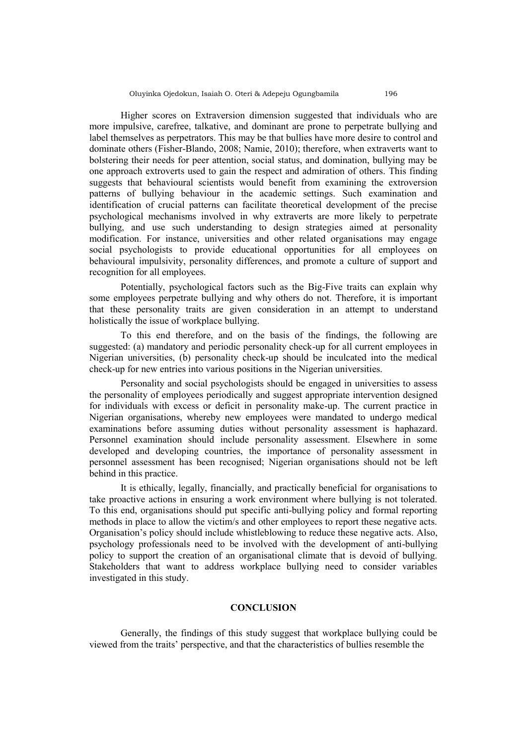Higher scores on Extraversion dimension suggested that individuals who are more impulsive, carefree, talkative, and dominant are prone to perpetrate bullying and label themselves as perpetrators. This may be that bullies have more desire to control and dominate others (Fisher-Blando, 2008; Namie, 2010); therefore, when extraverts want to bolstering their needs for peer attention, social status, and domination, bullying may be one approach extroverts used to gain the respect and admiration of others. This finding suggests that behavioural scientists would benefit from examining the extroversion patterns of bullying behaviour in the academic settings. Such examination and identification of crucial patterns can facilitate theoretical development of the precise psychological mechanisms involved in why extraverts are more likely to perpetrate bullying, and use such understanding to design strategies aimed at personality modification. For instance, universities and other related organisations may engage social psychologists to provide educational opportunities for all employees on behavioural impulsivity, personality differences, and promote a culture of support and recognition for all employees.

Potentially, psychological factors such as the Big-Five traits can explain why some employees perpetrate bullying and why others do not. Therefore, it is important that these personality traits are given consideration in an attempt to understand holistically the issue of workplace bullying.

To this end therefore, and on the basis of the findings, the following are suggested: (a) mandatory and periodic personality check-up for all current employees in Nigerian universities, (b) personality check-up should be inculcated into the medical check-up for new entries into various positions in the Nigerian universities.

Personality and social psychologists should be engaged in universities to assess the personality of employees periodically and suggest appropriate intervention designed for individuals with excess or deficit in personality make-up. The current practice in Nigerian organisations, whereby new employees were mandated to undergo medical examinations before assuming duties without personality assessment is haphazard. Personnel examination should include personality assessment. Elsewhere in some developed and developing countries, the importance of personality assessment in personnel assessment has been recognised; Nigerian organisations should not be left behind in this practice.

It is ethically, legally, financially, and practically beneficial for organisations to take proactive actions in ensuring a work environment where bullying is not tolerated. To this end, organisations should put specific anti-bullying policy and formal reporting methods in place to allow the victim/s and other employees to report these negative acts. Organisation's policy should include whistleblowing to reduce these negative acts. Also, psychology professionals need to be involved with the development of anti-bullying policy to support the creation of an organisational climate that is devoid of bullying. Stakeholders that want to address workplace bullying need to consider variables investigated in this study.

## **CONCLUSION**

Generally, the findings of this study suggest that workplace bullying could be viewed from the traits' perspective, and that the characteristics of bullies resemble the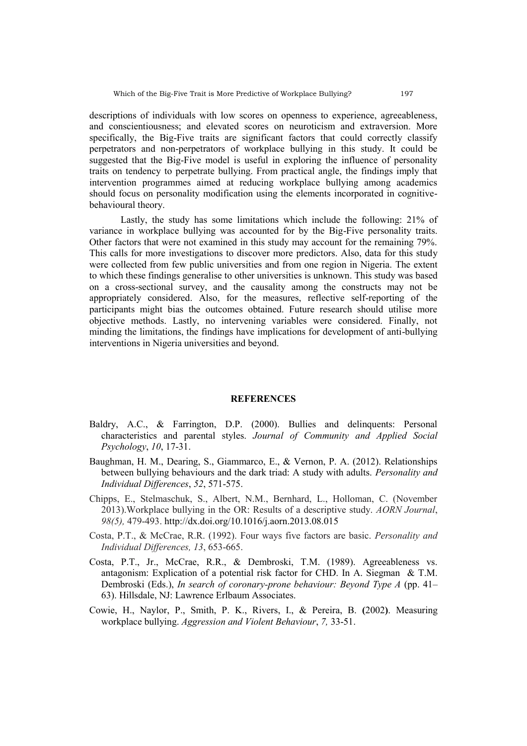descriptions of individuals with low scores on openness to experience, agreeableness, and conscientiousness; and elevated scores on neuroticism and extraversion. More specifically, the Big-Five traits are significant factors that could correctly classify perpetrators and non-perpetrators of workplace bullying in this study. It could be suggested that the Big-Five model is useful in exploring the influence of personality traits on tendency to perpetrate bullying. From practical angle, the findings imply that intervention programmes aimed at reducing workplace bullying among academics should focus on personality modification using the elements incorporated in cognitivebehavioural theory.

Lastly, the study has some limitations which include the following: 21% of variance in workplace bullying was accounted for by the Big-Five personality traits. Other factors that were not examined in this study may account for the remaining 79%. This calls for more investigations to discover more predictors. Also, data for this study were collected from few public universities and from one region in Nigeria. The extent to which these findings generalise to other universities is unknown. This study was based on a cross-sectional survey, and the causality among the constructs may not be appropriately considered. Also, for the measures, reflective self-reporting of the participants might bias the outcomes obtained. Future research should utilise more objective methods. Lastly, no intervening variables were considered. Finally, not minding the limitations, the findings have implications for development of anti-bullying interventions in Nigeria universities and beyond.

#### **REFERENCES**

- Baldry, A.C., & Farrington, D.P. (2000). Bullies and delinquents: Personal characteristics and parental styles. *Journal of Community and Applied Social Psychology*, *10*, 17-31.
- Baughman, H. M., Dearing, S., Giammarco, E., & Vernon, P. A. (2012). Relationships between bullying behaviours and the dark triad: A study with adults. *Personality and Individual Differences*, *52*, 571-575.
- Chipps, E., Stelmaschuk, S., Albert, N.M., Bernhard, L., Holloman, C. (November 2013).Workplace bullying in the OR: Results of a descriptive study. *AORN Journal*, *98(5),* 479-493. http://dx.doi.org/10.1016/j.aorn.2013.08.015
- Costa, P.T., & McCrae, R.R. (1992). Four ways five factors are basic. *Personality and Individual Differences, 13*, 653-665.
- Costa, P.T., Jr., McCrae, R.R., & Dembroski, T.M. (1989). Agreeableness vs. antagonism: Explication of a potential risk factor for CHD. In A. Siegman & T.M. Dembroski (Eds.), *In search of coronary-prone behaviour: Beyond Type A* (pp. 41– 63). Hillsdale, NJ: Lawrence Erlbaum Associates.
- Cowie, H., Naylor, P., Smith, P. K., Rivers, I., & Pereira, B. **(**2002**)**. Measuring workplace bullying. *Aggression and Violent Behaviour*, *7,* 33-51.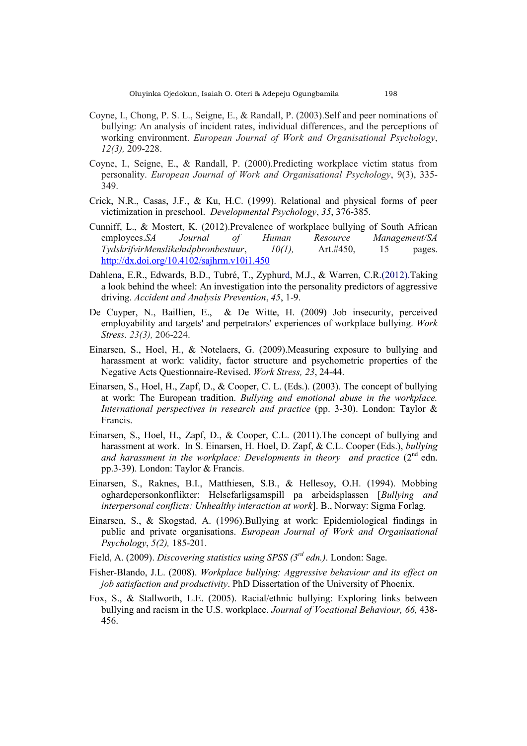- Coyne, I., Chong, P. S. L., Seigne, E., & Randall, P. (2003).Self and peer nominations of bullying: An analysis of incident rates, individual differences, and the perceptions of working environment. *European Journal of Work and Organisational Psychology*, *12(3),* 209-228.
- Coyne, I., Seigne, E., & Randall, P. (2000).Predicting workplace victim status from personality. *European Journal of Work and Organisational Psychology*, 9(3), 335- 349.
- Crick, N.R., Casas, J.F., & Ku, H.C. (1999). Relational and physical forms of peer victimization in preschool. *Developmental Psychology*, *35*, 376-385.
- Cunniff, L., & Mostert, K. (2012).Prevalence of workplace bullying of South African employees.*SA Journal of Human Resource Management/SA TydskrifvirMenslikehulpbronbestuur*, *10(1),* Art.#450, 15 pages. <http://dx.doi.org/10.4102/sajhrm.v10i1.450>
- Dahlena, E.R., Edwards, B.D., Tubré, T., Zyphurd, M.J., & Warren, C.R.(2012).Taking a look behind the wheel: An investigation into the personality predictors of aggressive driving. *Accident and Analysis Prevention*, *45*, 1-9.
- De Cuyper, N., Baillien, E., & De Witte, H. (2009) Job insecurity, perceived employability and targets' and perpetrators' experiences of workplace bullying. *Work Stress. 23(3),* 206-224.
- Einarsen, S., Hoel, H., & Notelaers, G. (2009).Measuring exposure to bullying and harassment at work: validity, factor structure and psychometric properties of the Negative Acts Questionnaire-Revised. *Work Stress, 23*, 24-44.
- Einarsen, S., Hoel, H., Zapf, D., & Cooper, C. L. (Eds.). (2003). The concept of bullying at work: The European tradition. *Bullying and emotional abuse in the workplace. International perspectives in research and practice* (pp. 3-30). London: Taylor & Francis.
- Einarsen, S., Hoel, H., Zapf, D., & Cooper, C.L. (2011).The concept of bullying and harassment at work. In S. Einarsen, H. Hoel, D. Zapf, & C.L. Cooper (Eds.), *bullying*  and harassment in the workplace: Developments in theory and practice  $(2^{nd}$  edn. pp.3-39). London: Taylor & Francis.
- Einarsen, S., Raknes, B.I., Matthiesen, S.B., & Hellesoy, O.H. (1994). Mobbing oghardepersonkonflikter: Helsefarligsamspill pa arbeidsplassen [*Bullying and interpersonal conflicts: Unhealthy interaction at work*]. B., Norway: Sigma Forlag.
- Einarsen, S., & Skogstad, A. (1996).Bullying at work: Epidemiological findings in public and private organisations. *European Journal of Work and Organisational Psychology*, *5(2),* 185-201.
- Field, A. (2009). *Discovering statistics using SPSS (3rd edn.)*. London: Sage.
- Fisher-Blando, J.L. (2008). *Workplace bullying: Aggressive behaviour and its effect on job satisfaction and productivity*. PhD Dissertation of the University of Phoenix.
- Fox, S., & Stallworth, L.E. (2005). Racial/ethnic bullying: Exploring links between bullying and racism in the U.S. workplace. *Journal of Vocational Behaviour, 66,* 438- 456.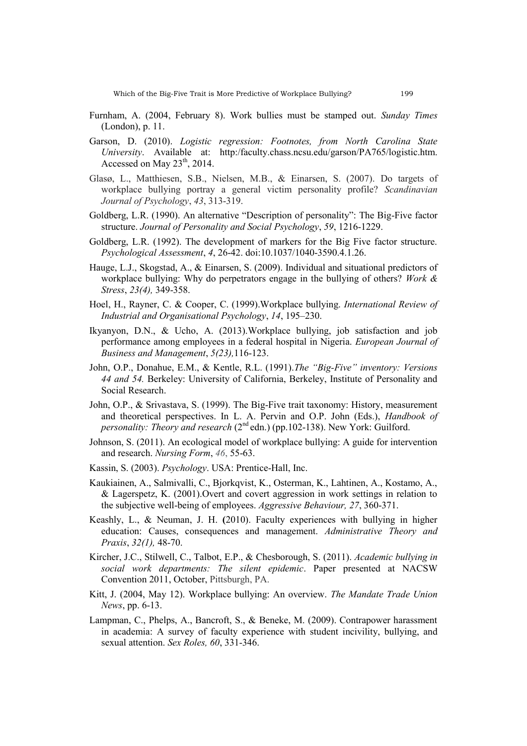- Furnham, A. (2004, February 8). Work bullies must be stamped out. *Sunday Times*  (London), p. 11.
- Garson, D. (2010). *Logistic regression: Footnotes, from North Carolina State University*. Available at: http:/faculty.chass.ncsu.edu/garson/PA765/logistic.htm. Accessed on May  $23<sup>th</sup>$ , 2014.
- Glasø, L., Matthiesen, S.B., Nielsen, M.B., & Einarsen, S. (2007). Do targets of workplace bullying portray a general victim personality profile? *Scandinavian Journal of Psychology*, *43*, 313-319.
- Goldberg, L.R. (1990). An alternative "Description of personality": The Big-Five factor structure. *Journal of Personality and Social Psychology*, *59*, 1216-1229.
- Goldberg, L.R. (1992). The development of markers for the Big Five factor structure. *Psychological Assessment*, *4*, 26-42. doi:10.1037/1040-3590.4.1.26.
- Hauge, L.J., Skogstad, A., & Einarsen, S. (2009). Individual and situational predictors of workplace bullying: Why do perpetrators engage in the bullying of others? *Work & Stress*, *23(4),* 349-358.
- Hoel, H., Rayner, C. & Cooper, C. (1999).Workplace bullying. *International Review of Industrial and Organisational Psychology*, *14*, 195–230.
- Ikyanyon, D.N., & Ucho, A. (2013).Workplace bullying, job satisfaction and job performance among employees in a federal hospital in Nigeria. *European Journal of Business and Management*, *5(23),*116-123.
- John, O.P., Donahue, E.M., & Kentle, R.L. (1991).*The "Big-Five" inventory: Versions 44 and 54.* Berkeley: University of California, Berkeley, Institute of Personality and Social Research.
- John, O.P., & Srivastava, S. (1999). The Big-Five trait taxonomy: History, measurement and theoretical perspectives. In L. A. Pervin and O.P. John (Eds.), *Handbook of personality: Theory and research* (2<sup>nd</sup> edn.) (pp.102-138). New York: Guilford.
- Johnson, S. (2011). An ecological model of workplace bullying: A guide for intervention and research. *Nursing Form*, *46*, 55-63.
- Kassin, S. (2003). *Psychology*. USA: Prentice-Hall, Inc.
- Kaukiainen, A., Salmivalli, C., Bjorkqvist, K., Osterman, K., Lahtinen, A., Kostamo, A., & Lagerspetz, K. (2001).Overt and covert aggression in work settings in relation to the subjective well-being of employees. *Aggressive Behaviour, 27*, 360-371.
- Keashly, L., & Neuman, J. H. **(**2010). Faculty experiences with bullying in higher education: Causes, consequences and management. *Administrative Theory and Praxis*, *32(1),* 48-70.
- Kircher, J.C., Stilwell, C., Talbot, E.P., & Chesborough, S. (2011). *Academic bullying in social work departments: The silent epidemic*. Paper presented at NACSW Convention 2011, October, Pittsburgh, PA.
- Kitt, J. (2004, May 12). Workplace bullying: An overview. *The Mandate Trade Union News*, pp. 6-13.
- Lampman, C., Phelps, A., Bancroft, S., & Beneke, M. (2009). Contrapower harassment in academia: A survey of faculty experience with student incivility, bullying, and sexual attention. *Sex Roles, 60*, 331-346.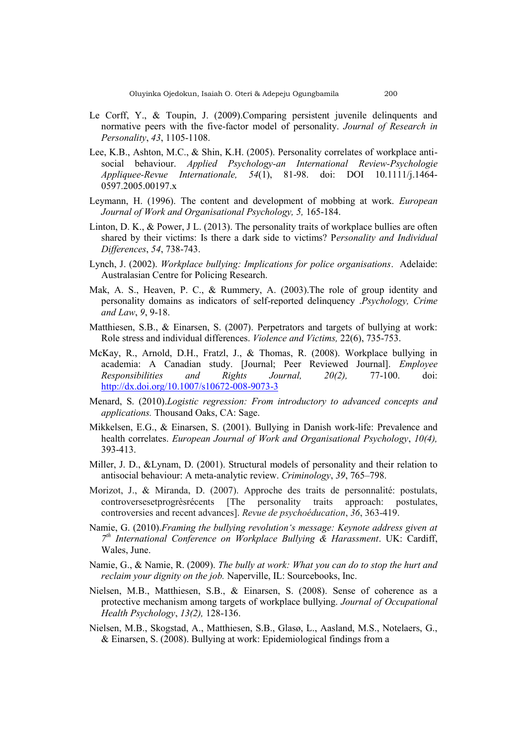- Le Corff, Y., & Toupin, J. (2009).Comparing persistent juvenile delinquents and normative peers with the five-factor model of personality. *Journal of Research in Personality*, *43*, 1105-1108.
- Lee, K.B., Ashton, M.C., & Shin, K.H. (2005). Personality correlates of workplace antisocial behaviour. *Applied Psychology-an International Review-Psychologie Appliquee-Revue Internationale, 54*(1), 81-98. doi: DOI 10.1111/j.1464- 0597.2005.00197.x
- Leymann, H. (1996). The content and development of mobbing at work. *European Journal of Work and Organisational Psychology, 5,* 165-184.
- Linton, D. K., & Power, J L. (2013). The personality traits of workplace bullies are often shared by their victims: Is there a dark side to victims? P*ersonality and Individual Differences*, *54*, 738-743.
- Lynch, J. (2002). *Workplace bullying: Implications for police organisations*. Adelaide: Australasian Centre for Policing Research.
- Mak, A. S., Heaven, P. C., & Rummery, A. (2003).The role of group identity and personality domains as indicators of self-reported delinquency .*Psychology, Crime and Law*, *9*, 9-18.
- Matthiesen, S.B., & Einarsen, S. (2007). Perpetrators and targets of bullying at work: Role stress and individual differences. *Violence and Victims,* 22(6), 735-753.
- McKay, R., Arnold, D.H., Fratzl, J., & Thomas, R. (2008). Workplace bullying in academia: A Canadian study. [Journal; Peer Reviewed Journal]. *Employee Responsibilities and Rights Journal, 20(2),* 77-100. doi: <http://dx.doi.org/10.1007/s10672-008-9073-3>
- Menard, S. (2010).*Logistic regression: From introductory to advanced concepts and applications.* Thousand Oaks, CA: Sage.
- Mikkelsen, E.G., & Einarsen, S. (2001). Bullying in Danish work-life: Prevalence and health correlates. *European Journal of Work and Organisational Psychology*, *10(4),* 393-413.
- Miller, J. D., &Lynam, D. (2001). Structural models of personality and their relation to antisocial behaviour: A meta-analytic review. *Criminology*, *39*, 765–798.
- Morizot, J., & Miranda, D. (2007). Approche des traits de personnalité: postulats, controversesetprogrèsrécents [The personality traits approach: postulates, controversies and recent advances]. *Revue de psychoéducation*, *36*, 363-419.
- Namie, G. (2010).*Framing the bullying revolution's message: Keynote address given at 7 th International Conference on Workplace Bullying & Harassment*. UK: Cardiff, Wales, June.
- Namie, G., & Namie, R. (2009). *The bully at work: What you can do to stop the hurt and reclaim your dignity on the job.* Naperville, IL: Sourcebooks, Inc.
- Nielsen, M.B., Matthiesen, S.B., & Einarsen, S. (2008). Sense of coherence as a protective mechanism among targets of workplace bullying. *Journal of Occupational Health Psychology*, *13(2),* 128-136.
- Nielsen, M.B., Skogstad, A., Matthiesen, S.B., Glasø, L., Aasland, M.S., Notelaers, G., & Einarsen, S. (2008). Bullying at work: Epidemiological findings from a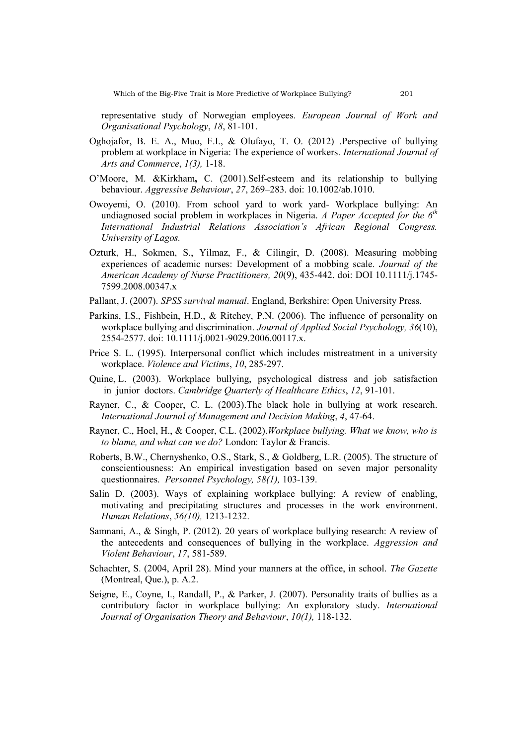representative study of Norwegian employees. *European Journal of Work and Organisational Psychology*, *18*, 81-101.

- Oghojafor, B. E. A., Muo, F.I., & Olufayo, T. O. (2012) .Perspective of bullying problem at workplace in Nigeria: The experience of workers. *International Journal of Arts and Commerce*, *1(3),* 1-18.
- O'Moore, M. &Kirkham**,** C. (2001).Self-esteem and its relationship to bullying behaviour. *Aggressive Behaviour*, *27*, 269–283. doi: 10.1002/ab.1010.
- Owoyemi, O. (2010). From school yard to work yard- Workplace bullying: An undiagnosed social problem in workplaces in Nigeria. *A Paper Accepted for the 6th International Industrial Relations Association's African Regional Congress. University of Lagos.*
- Ozturk, H., Sokmen, S., Yilmaz, F., & Cilingir, D. (2008). Measuring mobbing experiences of academic nurses: Development of a mobbing scale. *Journal of the American Academy of Nurse Practitioners, 20*(9), 435-442. doi: DOI 10.1111/j.1745- 7599.2008.00347.x
- Pallant, J. (2007). *SPSS survival manual*. England, Berkshire: Open University Press.
- Parkins, I.S., Fishbein, H.D., & Ritchey, P.N. (2006). The influence of personality on workplace bullying and discrimination. *Journal of Applied Social Psychology, 36*(10), 2554-2577. doi: 10.1111/j.0021-9029.2006.00117.x.
- Price S. L. (1995). Interpersonal conflict which includes mistreatment in a university workplace. *Violence and Victims*, *10*, 285-297.
- Quine, L. (2003). Workplace bullying, psychological distress and job satisfaction in junior doctors. *Cambridge Quarterly of Healthcare Ethics*, *12*, 91-101.
- Rayner, C., & Cooper, C. L. (2003).The black hole in bullying at work research. *International Journal of Management and Decision Making*, *4*, 47-64.
- Rayner, C., Hoel, H., & Cooper, C.L. (2002).*Workplace bullying. What we know, who is to blame, and what can we do?* London: Taylor & Francis.
- Roberts, B.W., Chernyshenko, O.S., Stark, S., & Goldberg, L.R. (2005). The structure of conscientiousness: An empirical investigation based on seven major personality questionnaires. *Personnel Psychology, 58(1),* 103-139.
- Salin D. (2003). Ways of explaining workplace bullying: A review of enabling, motivating and precipitating structures and processes in the work environment. *Human Relations*, *56(10),* 1213-1232.
- Samnani, A., & Singh, P. (2012). 20 years of workplace bullying research: A review of the antecedents and consequences of bullying in the workplace. *Aggression and Violent Behaviour*, *17*, 581-589.
- Schachter, S. (2004, April 28). Mind your manners at the office, in school. *The Gazette*  (Montreal, Que.), p. A.2.
- Seigne, E., Coyne, I., Randall, P., & Parker, J. (2007). Personality traits of bullies as a contributory factor in workplace bullying: An exploratory study. *International Journal of Organisation Theory and Behaviour*, *10(1),* 118-132.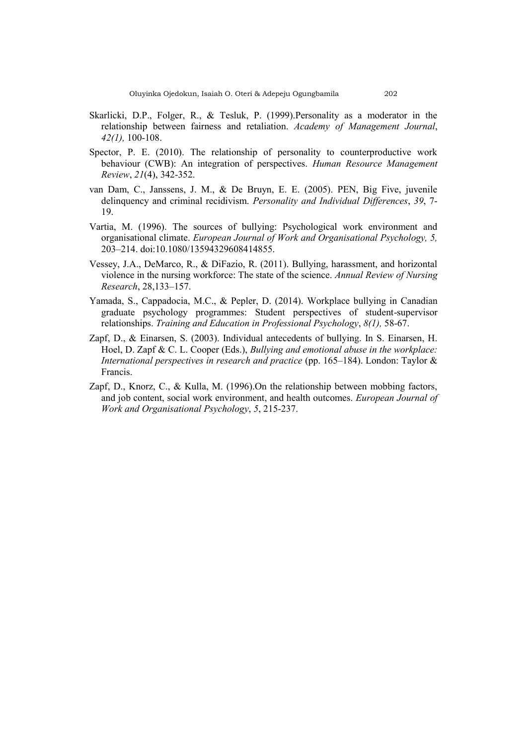- Skarlicki, D.P., Folger, R., & Tesluk, P. (1999).Personality as a moderator in the relationship between fairness and retaliation. *Academy of Management Journal*, *42(1),* 100-108.
- Spector, P. E. (2010). The relationship of personality to counterproductive work behaviour (CWB): An integration of perspectives. *Human Resource Management Review*, *21*(4), 342-352.
- van Dam, C., Janssens, J. M., & De Bruyn, E. E. (2005). PEN, Big Five, juvenile delinquency and criminal recidivism. *Personality and Individual Differences*, *39*, 7- 19.
- Vartia, M. (1996). The sources of bullying: Psychological work environment and organisational climate. *European Journal of Work and Organisational Psychology, 5,*  203–214. doi:10.1080/13594329608414855.
- Vessey, J.A., DeMarco, R., & DiFazio, R. (2011). Bullying, harassment, and horizontal violence in the nursing workforce: The state of the science. *Annual Review of Nursing Research*, 28,133–157.
- Yamada, S., Cappadocia, M.C., & Pepler, D. (2014). Workplace bullying in Canadian graduate psychology programmes: Student perspectives of student-supervisor relationships. *Training and Education in Professional Psychology*, *8(1),* 58-67.
- Zapf, D., & Einarsen, S. (2003). Individual antecedents of bullying. In S. Einarsen, H. Hoel, D. Zapf & C. L. Cooper (Eds.), *Bullying and emotional abuse in the workplace: International perspectives in research and practice* (pp. 165–184). London: Taylor & Francis.
- Zapf, D., Knorz, C., & Kulla, M. (1996).On the relationship between mobbing factors, and job content, social work environment, and health outcomes. *European Journal of Work and Organisational Psychology*, *5*, 215-237.